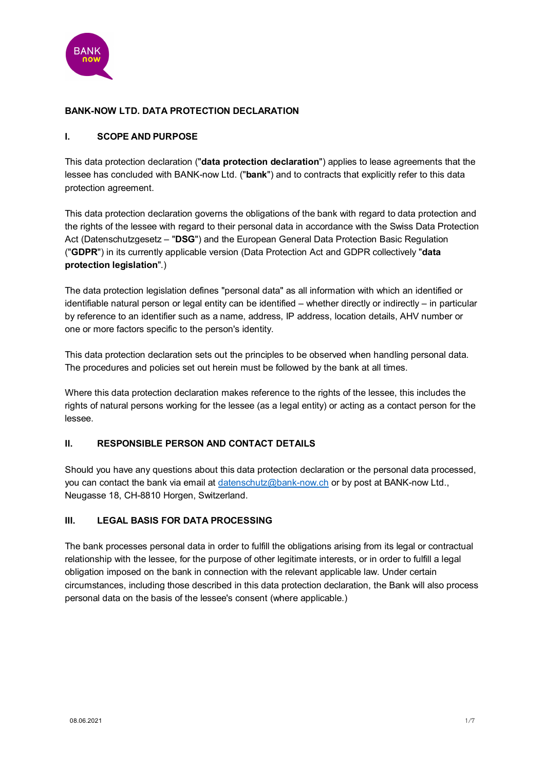

### **BANK-NOW LTD. DATA PROTECTION DECLARATION**

#### **I. SCOPE AND PURPOSE**

This data protection declaration ("**data protection declaration**") applies to lease agreements that the lessee has concluded with BANK-now Ltd. ("**bank**") and to contracts that explicitly refer to this data protection agreement.

This data protection declaration governs the obligations of the bank with regard to data protection and the rights of the lessee with regard to their personal data in accordance with the Swiss Data Protection Act (Datenschutzgesetz – "**DSG**") and the European General Data Protection Basic Regulation ("**GDPR**") in its currently applicable version (Data Protection Act and GDPR collectively "**data protection legislation**".)

The data protection legislation defines "personal data" as all information with which an identified or identifiable natural person or legal entity can be identified – whether directly or indirectly – in particular by reference to an identifier such as a name, address, IP address, location details, AHV number or one or more factors specific to the person's identity.

This data protection declaration sets out the principles to be observed when handling personal data. The procedures and policies set out herein must be followed by the bank at all times.

Where this data protection declaration makes reference to the rights of the lessee, this includes the rights of natural persons working for the lessee (as a legal entity) or acting as a contact person for the lessee.

#### **II. RESPONSIBLE PERSON AND CONTACT DETAILS**

Should you have any questions about this data protection declaration or the personal data processed, you can contact the bank via email at [datenschutz@bank-now.ch](mailto:datenschutz@bank-now.ch) or by post at BANK-now Ltd., Neugasse 18, CH-8810 Horgen, Switzerland.

#### **III. LEGAL BASIS FOR DATA PROCESSING**

The bank processes personal data in order to fulfill the obligations arising from its legal or contractual relationship with the lessee, for the purpose of other legitimate interests, or in order to fulfill a legal obligation imposed on the bank in connection with the relevant applicable law. Under certain circumstances, including those described in this data protection declaration, the Bank will also process personal data on the basis of the lessee's consent (where applicable.)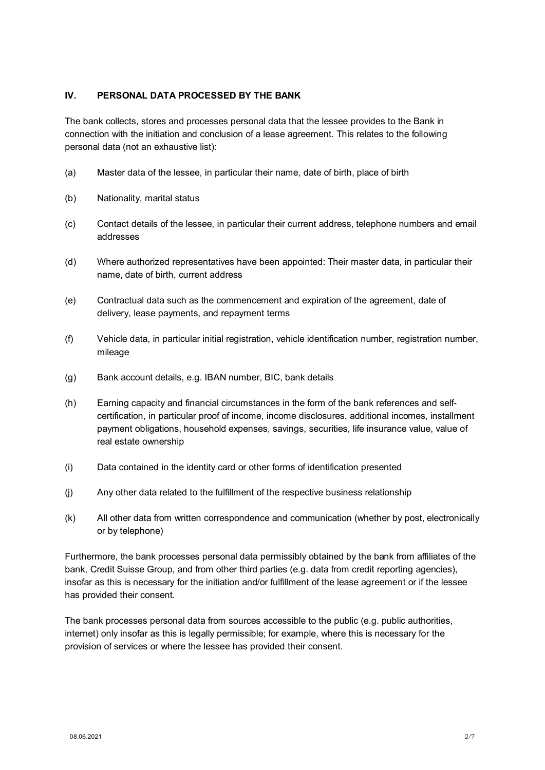### **IV. PERSONAL DATA PROCESSED BY THE BANK**

The bank collects, stores and processes personal data that the lessee provides to the Bank in connection with the initiation and conclusion of a lease agreement. This relates to the following personal data (not an exhaustive list):

- (a) Master data of the lessee, in particular their name, date of birth, place of birth
- (b) Nationality, marital status
- (c) Contact details of the lessee, in particular their current address, telephone numbers and email addresses
- (d) Where authorized representatives have been appointed: Their master data, in particular their name, date of birth, current address
- (e) Contractual data such as the commencement and expiration of the agreement, date of delivery, lease payments, and repayment terms
- (f) Vehicle data, in particular initial registration, vehicle identification number, registration number, mileage
- (g) Bank account details, e.g. IBAN number, BIC, bank details
- (h) Earning capacity and financial circumstances in the form of the bank references and selfcertification, in particular proof of income, income disclosures, additional incomes, installment payment obligations, household expenses, savings, securities, life insurance value, value of real estate ownership
- (i) Data contained in the identity card or other forms of identification presented
- (j) Any other data related to the fulfillment of the respective business relationship
- (k) All other data from written correspondence and communication (whether by post, electronically or by telephone)

Furthermore, the bank processes personal data permissibly obtained by the bank from affiliates of the bank, Credit Suisse Group, and from other third parties (e.g. data from credit reporting agencies), insofar as this is necessary for the initiation and/or fulfillment of the lease agreement or if the lessee has provided their consent.

The bank processes personal data from sources accessible to the public (e.g. public authorities, internet) only insofar as this is legally permissible; for example, where this is necessary for the provision of services or where the lessee has provided their consent.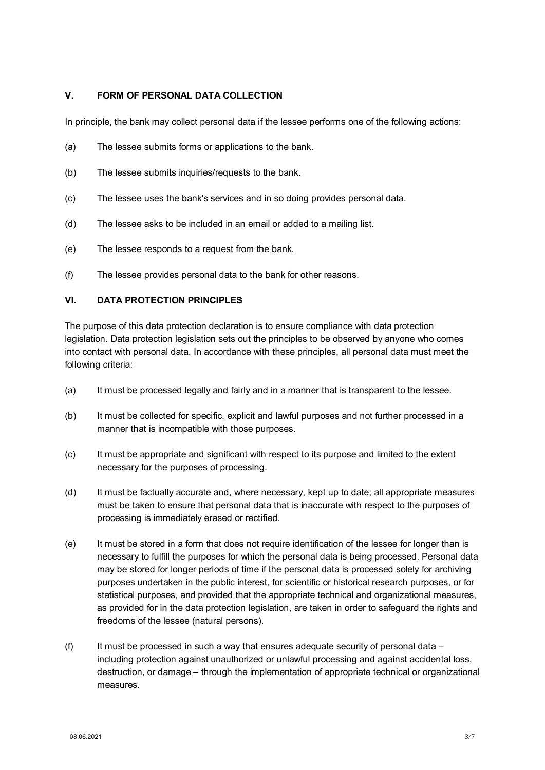### **V. FORM OF PERSONAL DATA COLLECTION**

In principle, the bank may collect personal data if the lessee performs one of the following actions:

- (a) The lessee submits forms or applications to the bank.
- (b) The lessee submits inquiries/requests to the bank.
- (c) The lessee uses the bank's services and in so doing provides personal data.
- (d) The lessee asks to be included in an email or added to a mailing list*.*
- (e) The lessee responds to a request from the bank.
- (f) The lessee provides personal data to the bank for other reasons.

### **VI. DATA PROTECTION PRINCIPLES**

The purpose of this data protection declaration is to ensure compliance with data protection legislation. Data protection legislation sets out the principles to be observed by anyone who comes into contact with personal data. In accordance with these principles, all personal data must meet the following criteria:

- (a) It must be processed legally and fairly and in a manner that is transparent to the lessee.
- (b) It must be collected for specific, explicit and lawful purposes and not further processed in a manner that is incompatible with those purposes.
- (c) It must be appropriate and significant with respect to its purpose and limited to the extent necessary for the purposes of processing.
- (d) It must be factually accurate and, where necessary, kept up to date; all appropriate measures must be taken to ensure that personal data that is inaccurate with respect to the purposes of processing is immediately erased or rectified.
- (e) It must be stored in a form that does not require identification of the lessee for longer than is necessary to fulfill the purposes for which the personal data is being processed. Personal data may be stored for longer periods of time if the personal data is processed solely for archiving purposes undertaken in the public interest, for scientific or historical research purposes, or for statistical purposes, and provided that the appropriate technical and organizational measures, as provided for in the data protection legislation, are taken in order to safeguard the rights and freedoms of the lessee (natural persons).
- (f) It must be processed in such a way that ensures adequate security of personal data  $$ including protection against unauthorized or unlawful processing and against accidental loss, destruction, or damage – through the implementation of appropriate technical or organizational measures.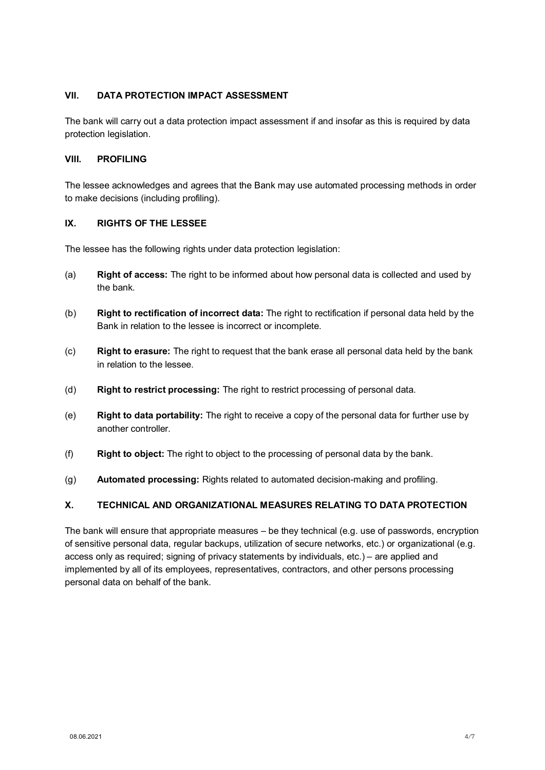### **VII. DATA PROTECTION IMPACT ASSESSMENT**

The bank will carry out a data protection impact assessment if and insofar as this is required by data protection legislation.

#### **VIII. PROFILING**

The lessee acknowledges and agrees that the Bank may use automated processing methods in order to make decisions (including profiling).

#### **IX. RIGHTS OF THE LESSEE**

The lessee has the following rights under data protection legislation:

- (a) **Right of access:** The right to be informed about how personal data is collected and used by the bank.
- (b) **Right to rectification of incorrect data:** The right to rectification if personal data held by the Bank in relation to the lessee is incorrect or incomplete.
- (c) **Right to erasure:** The right to request that the bank erase all personal data held by the bank in relation to the lessee.
- (d) **Right to restrict processing:** The right to restrict processing of personal data.
- (e) **Right to data portability:** The right to receive a copy of the personal data for further use by another controller.
- (f) **Right to object:** The right to object to the processing of personal data by the bank.
- (g) **Automated processing:** Rights related to automated decision-making and profiling.

## **X. TECHNICAL AND ORGANIZATIONAL MEASURES RELATING TO DATA PROTECTION**

The bank will ensure that appropriate measures – be they technical (e.g. use of passwords, encryption of sensitive personal data, regular backups, utilization of secure networks, etc.) or organizational (e.g. access only as required; signing of privacy statements by individuals, etc.) – are applied and implemented by all of its employees, representatives, contractors, and other persons processing personal data on behalf of the bank.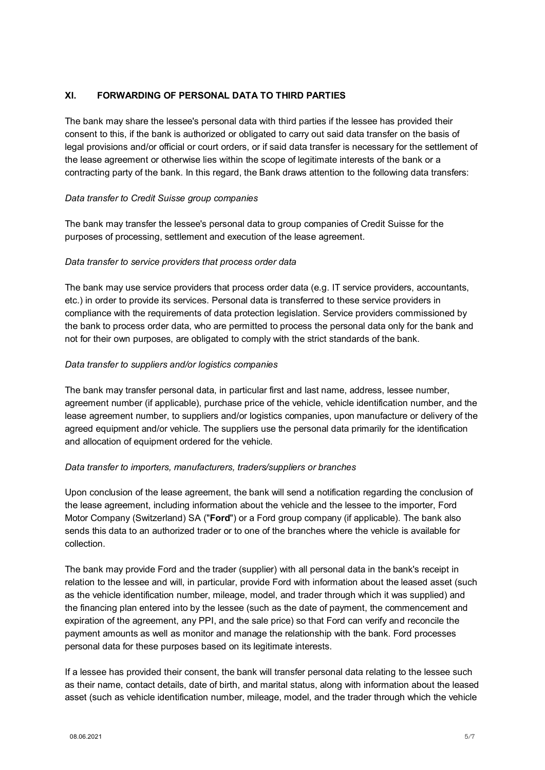### <span id="page-4-0"></span>**XI. FORWARDING OF PERSONAL DATA TO THIRD PARTIES**

The bank may share the lessee's personal data with third parties if the lessee has provided their consent to this, if the bank is authorized or obligated to carry out said data transfer on the basis of legal provisions and/or official or court orders, or if said data transfer is necessary for the settlement of the lease agreement or otherwise lies within the scope of legitimate interests of the bank or a contracting party of the bank. In this regard, the Bank draws attention to the following data transfers:

#### *Data transfer to Credit Suisse group companies*

The bank may transfer the lessee's personal data to group companies of Credit Suisse for the purposes of processing, settlement and execution of the lease agreement.

### *Data transfer to service providers that process order data*

The bank may use service providers that process order data (e.g. IT service providers, accountants, etc.) in order to provide its services. Personal data is transferred to these service providers in compliance with the requirements of data protection legislation. Service providers commissioned by the bank to process order data, who are permitted to process the personal data only for the bank and not for their own purposes, are obligated to comply with the strict standards of the bank.

### *Data transfer to suppliers and/or logistics companies*

The bank may transfer personal data, in particular first and last name, address, lessee number, agreement number (if applicable), purchase price of the vehicle, vehicle identification number, and the lease agreement number, to suppliers and/or logistics companies, upon manufacture or delivery of the agreed equipment and/or vehicle. The suppliers use the personal data primarily for the identification and allocation of equipment ordered for the vehicle.

#### *Data transfer to importers, manufacturers, traders/suppliers or branches*

Upon conclusion of the lease agreement, the bank will send a notification regarding the conclusion of the lease agreement, including information about the vehicle and the lessee to the importer, Ford Motor Company (Switzerland) SA ("**Ford**") or a Ford group company (if applicable). The bank also sends this data to an authorized trader or to one of the branches where the vehicle is available for collection.

The bank may provide Ford and the trader (supplier) with all personal data in the bank's receipt in relation to the lessee and will, in particular, provide Ford with information about the leased asset (such as the vehicle identification number, mileage, model, and trader through which it was supplied) and the financing plan entered into by the lessee (such as the date of payment, the commencement and expiration of the agreement, any PPI, and the sale price) so that Ford can verify and reconcile the payment amounts as well as monitor and manage the relationship with the bank. Ford processes personal data for these purposes based on its legitimate interests.

If a lessee has provided their consent, the bank will transfer personal data relating to the lessee such as their name, contact details, date of birth, and marital status, along with information about the leased asset (such as vehicle identification number, mileage, model, and the trader through which the vehicle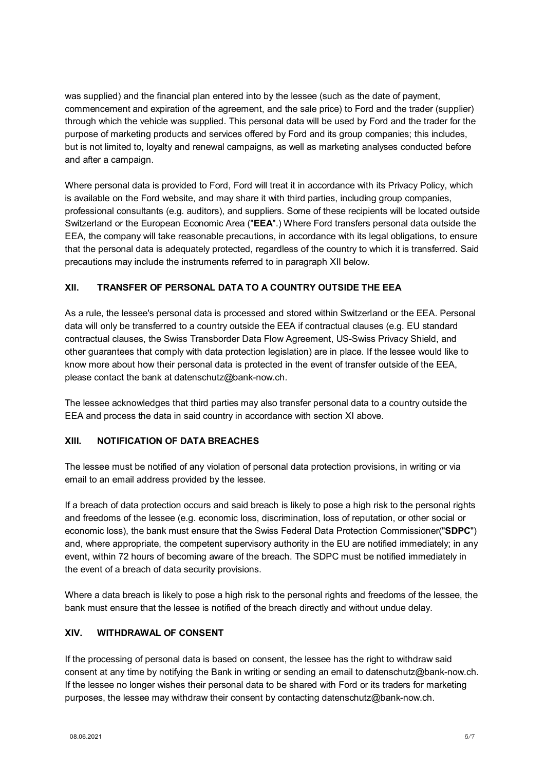was supplied) and the financial plan entered into by the lessee (such as the date of payment, commencement and expiration of the agreement, and the sale price) to Ford and the trader (supplier) through which the vehicle was supplied. This personal data will be used by Ford and the trader for the purpose of marketing products and services offered by Ford and its group companies; this includes, but is not limited to, loyalty and renewal campaigns, as well as marketing analyses conducted before and after a campaign.

Where personal data is provided to Ford, Ford will treat it in accordance with its Privacy Policy, which is available on the Ford website, and may share it with third parties, including group companies, professional consultants (e.g. auditors), and suppliers. Some of these recipients will be located outside Switzerland or the European Economic Area ("**EEA**".) Where Ford transfers personal data outside the EEA, the company will take reasonable precautions, in accordance with its legal obligations, to ensure that the personal data is adequately protected, regardless of the country to which it is transferred. Said precautions may include the instruments referred to in paragraph XII below.

# **XII. TRANSFER OF PERSONAL DATA TO A COUNTRY OUTSIDE THE EEA**

As a rule, the lessee's personal data is processed and stored within Switzerland or the EEA. Personal data will only be transferred to a country outside the EEA if contractual clauses (e.g. EU standard contractual clauses, the Swiss Transborder Data Flow Agreement, US-Swiss Privacy Shield, and other guarantees that comply with data protection legislation) are in place. If the lessee would like to know more about how their personal data is protected in the event of transfer outside of the EEA, please contact the bank at datenschutz@bank-now.ch.

The lessee acknowledges that third parties may also transfer personal data to a country outside the EEA and process the data in said country in accordance with section [XI](#page-4-0) above.

## **XIII. NOTIFICATION OF DATA BREACHES**

The lessee must be notified of any violation of personal data protection provisions, in writing or via email to an email address provided by the lessee.

If a breach of data protection occurs and said breach is likely to pose a high risk to the personal rights and freedoms of the lessee (e.g. economic loss, discrimination, loss of reputation, or other social or economic loss), the bank must ensure that the Swiss Federal Data Protection Commissioner("**SDPC**") and, where appropriate, the competent supervisory authority in the EU are notified immediately; in any event, within 72 hours of becoming aware of the breach. The SDPC must be notified immediately in the event of a breach of data security provisions.

Where a data breach is likely to pose a high risk to the personal rights and freedoms of the lessee, the bank must ensure that the lessee is notified of the breach directly and without undue delay.

## **XIV. WITHDRAWAL OF CONSENT**

If the processing of personal data is based on consent, the lessee has the right to withdraw said consent at any time by notifying the Bank in writing or sending an email to datenschutz@bank-now.ch. If the lessee no longer wishes their personal data to be shared with Ford or its traders for marketing purposes, the lessee may withdraw their consent by contacting datenschutz@bank-now.ch.